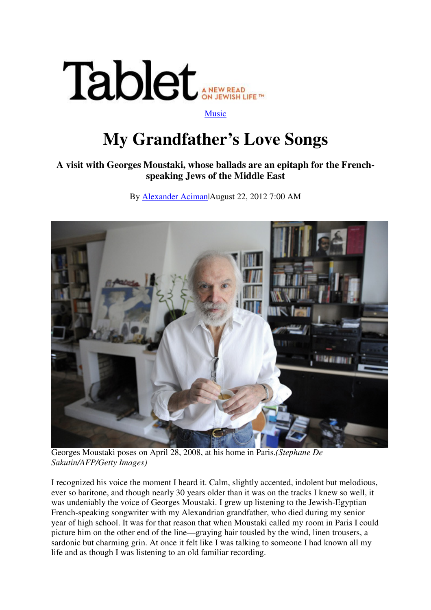

## **My Grandfather's Love Songs**

## **A visit with Georges Moustaki, whose ballads are an epitaph for the Frenchspeaking Jews of the Middle East**

By Alexander Aciman|August 22, 2012 7:00 AM



Georges Moustaki poses on April 28, 2008, at his home in Paris.*(Stephane De Sakutin/AFP/Getty Images)*

I recognized his voice the moment I heard it. Calm, slightly accented, indolent but melodious, ever so baritone, and though nearly 30 years older than it was on the tracks I knew so well, it was undeniably the voice of Georges Moustaki. I grew up listening to the Jewish-Egyptian French-speaking songwriter with my Alexandrian grandfather, who died during my senior year of high school. It was for that reason that when Moustaki called my room in Paris I could picture him on the other end of the line—graying hair tousled by the wind, linen trousers, a sardonic but charming grin. At once it felt like I was talking to someone I had known all my life and as though I was listening to an old familiar recording.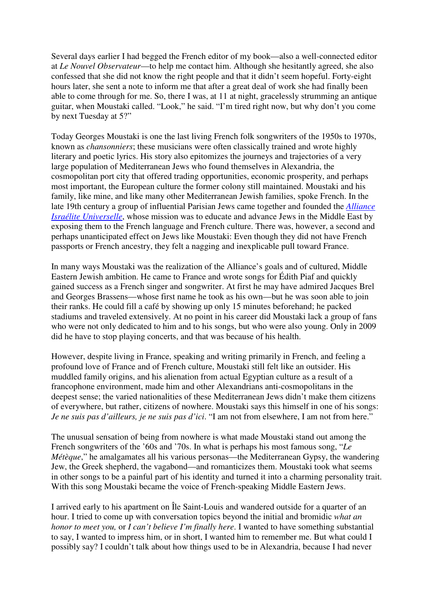Several days earlier I had begged the French editor of my book—also a well-connected editor at *Le Nouvel Observateur*—to help me contact him. Although she hesitantly agreed, she also confessed that she did not know the right people and that it didn't seem hopeful. Forty-eight hours later, she sent a note to inform me that after a great deal of work she had finally been able to come through for me. So, there I was, at 11 at night, gracelessly strumming an antique guitar, when Moustaki called. "Look," he said. "I'm tired right now, but why don't you come by next Tuesday at 5?"

Today Georges Moustaki is one the last living French folk songwriters of the 1950s to 1970s, known as *chansonniers*; these musicians were often classically trained and wrote highly literary and poetic lyrics. His story also epitomizes the journeys and trajectories of a very large population of Mediterranean Jews who found themselves in Alexandria, the cosmopolitan port city that offered trading opportunities, economic prosperity, and perhaps most important, the European culture the former colony still maintained. Moustaki and his family, like mine, and like many other Mediterranean Jewish families, spoke French. In the late 19th century a group of influential Parisian Jews came together and founded the *Alliance Israélite Universelle*, whose mission was to educate and advance Jews in the Middle East by exposing them to the French language and French culture. There was, however, a second and perhaps unanticipated effect on Jews like Moustaki: Even though they did not have French passports or French ancestry, they felt a nagging and inexplicable pull toward France.

In many ways Moustaki was the realization of the Alliance's goals and of cultured, Middle Eastern Jewish ambition. He came to France and wrote songs for Édith Piaf and quickly gained success as a French singer and songwriter. At first he may have admired Jacques Brel and Georges Brassens—whose first name he took as his own—but he was soon able to join their ranks. He could fill a café by showing up only 15 minutes beforehand; he packed stadiums and traveled extensively. At no point in his career did Moustaki lack a group of fans who were not only dedicated to him and to his songs, but who were also young. Only in 2009 did he have to stop playing concerts, and that was because of his health.

However, despite living in France, speaking and writing primarily in French, and feeling a profound love of France and of French culture, Moustaki still felt like an outsider. His muddled family origins, and his alienation from actual Egyptian culture as a result of a francophone environment, made him and other Alexandrians anti-cosmopolitans in the deepest sense; the varied nationalities of these Mediterranean Jews didn't make them citizens of everywhere, but rather, citizens of nowhere. Moustaki says this himself in one of his songs: *Je ne suis pas d'ailleurs, je ne suis pas d'ici*. "I am not from elsewhere, I am not from here."

The unusual sensation of being from nowhere is what made Moustaki stand out among the French songwriters of the '60s and '70s. In what is perhaps his most famous song, "*Le Métèque*," he amalgamates all his various personas—the Mediterranean Gypsy, the wandering Jew, the Greek shepherd, the vagabond—and romanticizes them. Moustaki took what seems in other songs to be a painful part of his identity and turned it into a charming personality trait. With this song Moustaki became the voice of French-speaking Middle Eastern Jews.

I arrived early to his apartment on Île Saint-Louis and wandered outside for a quarter of an hour. I tried to come up with conversation topics beyond the initial and bromidic *what an honor to meet you,* or *I can't believe I'm finally here*. I wanted to have something substantial to say, I wanted to impress him, or in short, I wanted him to remember me. But what could I possibly say? I couldn't talk about how things used to be in Alexandria, because I had never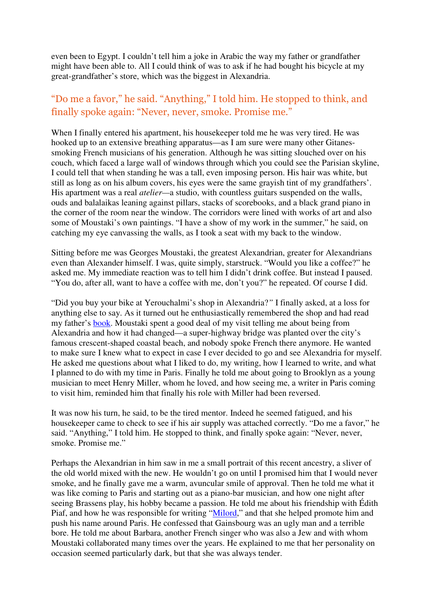even been to Egypt. I couldn't tell him a joke in Arabic the way my father or grandfather might have been able to. All I could think of was to ask if he had bought his bicycle at my great-grandfather's store, which was the biggest in Alexandria.

## "Do me a favor," he said. "Anything," I told him. He stopped to think, and finally spoke again: "Never, never, smoke. Promise me."

When I finally entered his apartment, his housekeeper told me he was very tired. He was hooked up to an extensive breathing apparatus—as I am sure were many other Gitanessmoking French musicians of his generation. Although he was sitting slouched over on his couch, which faced a large wall of windows through which you could see the Parisian skyline, I could tell that when standing he was a tall, even imposing person. His hair was white, but still as long as on his album covers, his eyes were the same grayish tint of my grandfathers'. His apartment was a real *atelier—*a studio, with countless guitars suspended on the walls, ouds and balalaikas leaning against pillars, stacks of scorebooks, and a black grand piano in the corner of the room near the window. The corridors were lined with works of art and also some of Moustaki's own paintings. "I have a show of my work in the summer," he said, on catching my eye canvassing the walls, as I took a seat with my back to the window.

Sitting before me was Georges Moustaki, the greatest Alexandrian, greater for Alexandrians even than Alexander himself. I was, quite simply, starstruck. "Would you like a coffee?" he asked me. My immediate reaction was to tell him I didn't drink coffee. But instead I paused. "You do, after all, want to have a coffee with me, don't you?" he repeated. Of course I did.

"Did you buy your bike at Yerouchalmi's shop in Alexandria?*"* I finally asked, at a loss for anything else to say. As it turned out he enthusiastically remembered the shop and had read my father's book. Moustaki spent a good deal of my visit telling me about being from Alexandria and how it had changed—a super-highway bridge was planted over the city's famous crescent-shaped coastal beach, and nobody spoke French there anymore. He wanted to make sure I knew what to expect in case I ever decided to go and see Alexandria for myself. He asked me questions about what I liked to do, my writing, how I learned to write, and what I planned to do with my time in Paris. Finally he told me about going to Brooklyn as a young musician to meet Henry Miller, whom he loved, and how seeing me, a writer in Paris coming to visit him, reminded him that finally his role with Miller had been reversed.

It was now his turn, he said, to be the tired mentor. Indeed he seemed fatigued, and his housekeeper came to check to see if his air supply was attached correctly. "Do me a favor," he said. "Anything," I told him. He stopped to think, and finally spoke again: "Never, never, smoke. Promise me."

Perhaps the Alexandrian in him saw in me a small portrait of this recent ancestry, a sliver of the old world mixed with the new. He wouldn't go on until I promised him that I would never smoke, and he finally gave me a warm, avuncular smile of approval. Then he told me what it was like coming to Paris and starting out as a piano-bar musician, and how one night after seeing Brassens play, his hobby became a passion. He told me about his friendship with Édith Piaf, and how he was responsible for writing "Milord," and that she helped promote him and push his name around Paris. He confessed that Gainsbourg was an ugly man and a terrible bore. He told me about Barbara, another French singer who was also a Jew and with whom Moustaki collaborated many times over the years. He explained to me that her personality on occasion seemed particularly dark, but that she was always tender.